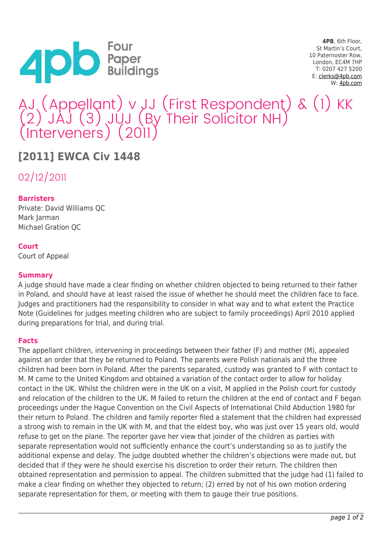

**4PB**, 6th Floor, St Martin's Court, 10 Paternoster Row, London, EC4M 7HP T: 0207 427 5200 E: [clerks@4pb.com](mailto:clerks@4pb.com) W: [4pb.com](http://4pb.com)

# AJ (Appellant) v JJ (First Respondent) & (1) KK (2) JAJ (3) JUJ (By Their Solicitor NH) (Interveners) (2011)

# **[2011] EWCA Civ 1448**

02/12/2011

# **Barristers**

Private: David Williams QC Mark Jarman Michael Gration QC

#### **Court**

Court of Appeal

## **Summary**

A judge should have made a clear finding on whether children objected to being returned to their father in Poland, and should have at least raised the issue of whether he should meet the children face to face. Judges and practitioners had the responsibility to consider in what way and to what extent the Practice Note (Guidelines for judges meeting children who are subject to family proceedings) April 2010 applied during preparations for trial, and during trial.

#### **Facts**

The appellant children, intervening in proceedings between their father (F) and mother (M), appealed against an order that they be returned to Poland. The parents were Polish nationals and the three children had been born in Poland. After the parents separated, custody was granted to F with contact to M. M came to the United Kingdom and obtained a variation of the contact order to allow for holiday contact in the UK. Whilst the children were in the UK on a visit, M applied in the Polish court for custody and relocation of the children to the UK. M failed to return the children at the end of contact and F began proceedings under the Hague Convention on the Civil Aspects of International Child Abduction 1980 for their return to Poland. The children and family reporter filed a statement that the children had expressed a strong wish to remain in the UK with M, and that the eldest boy, who was just over 15 years old, would refuse to get on the plane. The reporter gave her view that joinder of the children as parties with separate representation would not sufficiently enhance the court's understanding so as to justify the additional expense and delay. The judge doubted whether the children's objections were made out, but decided that if they were he should exercise his discretion to order their return. The children then obtained representation and permission to appeal. The children submitted that the judge had (1) failed to make a clear finding on whether they objected to return; (2) erred by not of his own motion ordering separate representation for them, or meeting with them to gauge their true positions.